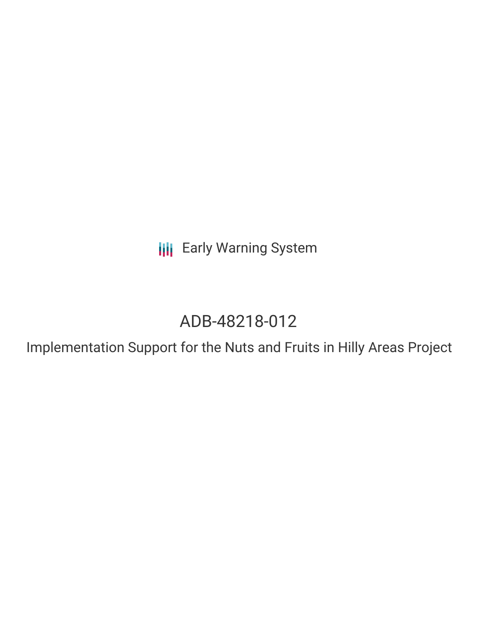**III** Early Warning System

# ADB-48218-012

Implementation Support for the Nuts and Fruits in Hilly Areas Project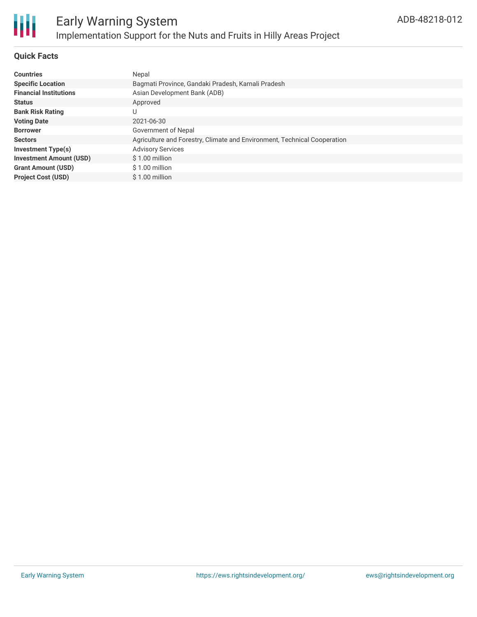

# **Quick Facts**

| <b>Countries</b>               | Nepal                                                                    |
|--------------------------------|--------------------------------------------------------------------------|
| <b>Specific Location</b>       | Bagmati Province, Gandaki Pradesh, Karnali Pradesh                       |
| <b>Financial Institutions</b>  | Asian Development Bank (ADB)                                             |
| <b>Status</b>                  | Approved                                                                 |
| <b>Bank Risk Rating</b>        | U                                                                        |
| <b>Voting Date</b>             | 2021-06-30                                                               |
| <b>Borrower</b>                | Government of Nepal                                                      |
| <b>Sectors</b>                 | Agriculture and Forestry, Climate and Environment, Technical Cooperation |
| Investment Type(s)             | <b>Advisory Services</b>                                                 |
| <b>Investment Amount (USD)</b> | \$1.00 million                                                           |
| <b>Grant Amount (USD)</b>      | \$1.00 million                                                           |
| <b>Project Cost (USD)</b>      | \$1.00 million                                                           |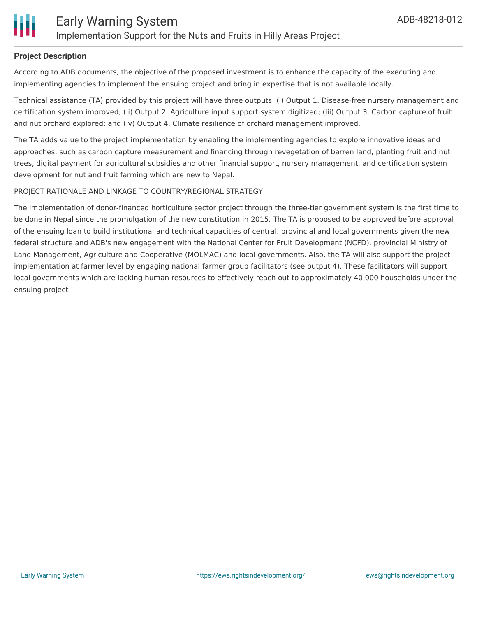

### **Project Description**

According to ADB documents, the objective of the proposed investment is to enhance the capacity of the executing and implementing agencies to implement the ensuing project and bring in expertise that is not available locally.

Technical assistance (TA) provided by this project will have three outputs: (i) Output 1. Disease-free nursery management and certification system improved; (ii) Output 2. Agriculture input support system digitized; (iii) Output 3. Carbon capture of fruit and nut orchard explored; and (iv) Output 4. Climate resilience of orchard management improved.

The TA adds value to the project implementation by enabling the implementing agencies to explore innovative ideas and approaches, such as carbon capture measurement and financing through revegetation of barren land, planting fruit and nut trees, digital payment for agricultural subsidies and other financial support, nursery management, and certification system development for nut and fruit farming which are new to Nepal.

#### PROJECT RATIONALE AND LINKAGE TO COUNTRY/REGIONAL STRATEGY

The implementation of donor-financed horticulture sector project through the three-tier government system is the first time to be done in Nepal since the promulgation of the new constitution in 2015. The TA is proposed to be approved before approval of the ensuing loan to build institutional and technical capacities of central, provincial and local governments given the new federal structure and ADB's new engagement with the National Center for Fruit Development (NCFD), provincial Ministry of Land Management, Agriculture and Cooperative (MOLMAC) and local governments. Also, the TA will also support the project implementation at farmer level by engaging national farmer group facilitators (see output 4). These facilitators will support local governments which are lacking human resources to effectively reach out to approximately 40,000 households under the ensuing project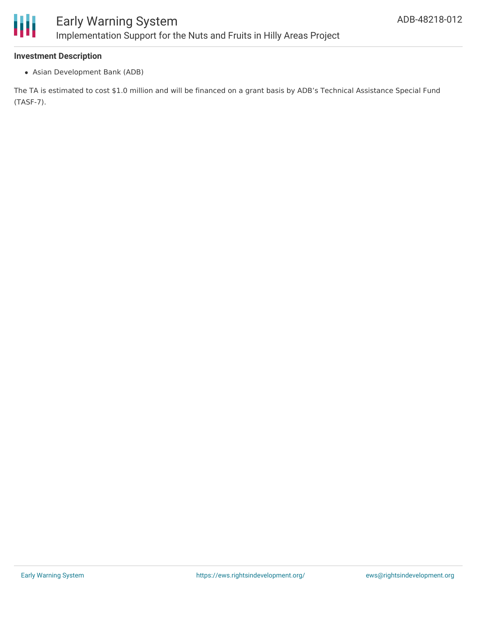

#### **Investment Description**

Asian Development Bank (ADB)

The TA is estimated to cost \$1.0 million and will be financed on a grant basis by ADB's Technical Assistance Special Fund (TASF-7).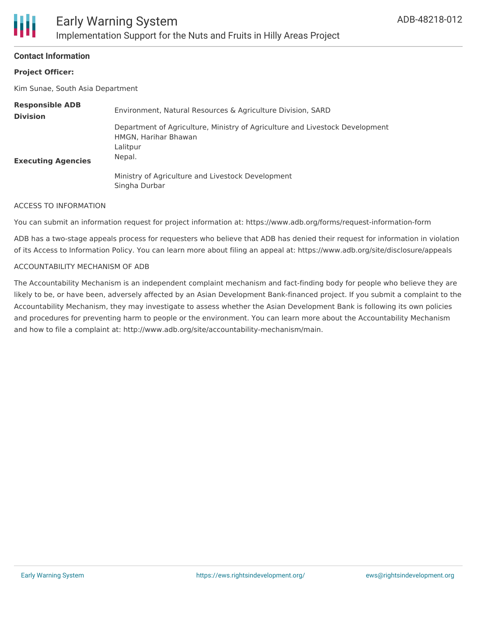## **Contact Information**

## **Project Officer:**

Kim Sunae, South Asia Department

| <b>Responsible ADB</b><br><b>Division</b> | Environment, Natural Resources & Agriculture Division, SARD                                                                |
|-------------------------------------------|----------------------------------------------------------------------------------------------------------------------------|
| <b>Executing Agencies</b>                 | Department of Agriculture, Ministry of Agriculture and Livestock Development<br>HMGN, Harihar Bhawan<br>Lalitpur<br>Nepal. |
|                                           | Ministry of Agriculture and Livestock Development<br>Singha Durbar                                                         |

#### ACCESS TO INFORMATION

You can submit an information request for project information at: https://www.adb.org/forms/request-information-form

ADB has a two-stage appeals process for requesters who believe that ADB has denied their request for information in violation of its Access to Information Policy. You can learn more about filing an appeal at: https://www.adb.org/site/disclosure/appeals

#### ACCOUNTABILITY MECHANISM OF ADB

The Accountability Mechanism is an independent complaint mechanism and fact-finding body for people who believe they are likely to be, or have been, adversely affected by an Asian Development Bank-financed project. If you submit a complaint to the Accountability Mechanism, they may investigate to assess whether the Asian Development Bank is following its own policies and procedures for preventing harm to people or the environment. You can learn more about the Accountability Mechanism and how to file a complaint at: http://www.adb.org/site/accountability-mechanism/main.